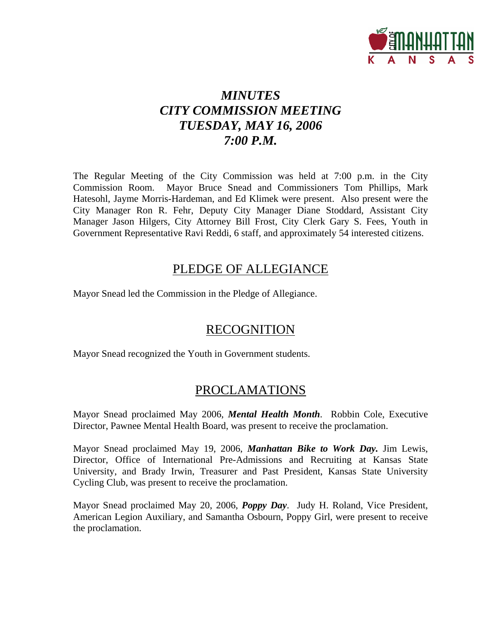

# *MINUTES CITY COMMISSION MEETING TUESDAY, MAY 16, 2006 7:00 P.M.*

The Regular Meeting of the City Commission was held at 7:00 p.m. in the City Commission Room. Mayor Bruce Snead and Commissioners Tom Phillips, Mark Hatesohl, Jayme Morris-Hardeman, and Ed Klimek were present. Also present were the City Manager Ron R. Fehr, Deputy City Manager Diane Stoddard, Assistant City Manager Jason Hilgers, City Attorney Bill Frost, City Clerk Gary S. Fees, Youth in Government Representative Ravi Reddi, 6 staff, and approximately 54 interested citizens.

## PLEDGE OF ALLEGIANCE

Mayor Snead led the Commission in the Pledge of Allegiance.

## RECOGNITION

Mayor Snead recognized the Youth in Government students.

## PROCLAMATIONS

Mayor Snead proclaimed May 2006, *Mental Health Month*. Robbin Cole, Executive Director, Pawnee Mental Health Board, was present to receive the proclamation.

Mayor Snead proclaimed May 19, 2006, *Manhattan Bike to Work Day.* Jim Lewis, Director, Office of International Pre-Admissions and Recruiting at Kansas State University, and Brady Irwin, Treasurer and Past President, Kansas State University Cycling Club, was present to receive the proclamation.

Mayor Snead proclaimed May 20, 2006, *Poppy Day*. Judy H. Roland, Vice President, American Legion Auxiliary, and Samantha Osbourn, Poppy Girl, were present to receive the proclamation.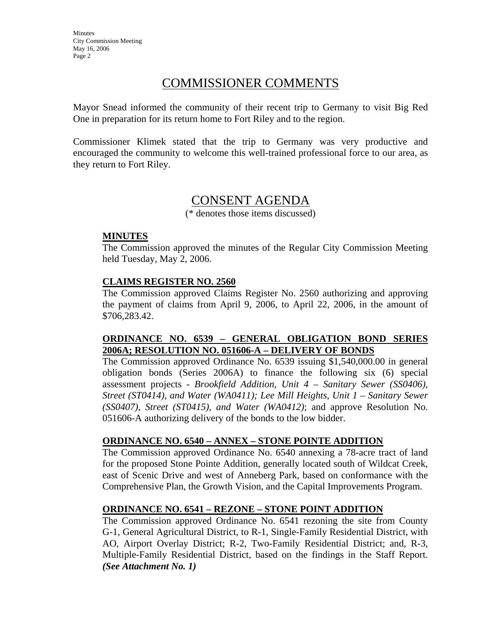## COMMISSIONER COMMENTS

Mayor Snead informed the community of their recent trip to Germany to visit Big Red One in preparation for its return home to Fort Riley and to the region.

Commissioner Klimek stated that the trip to Germany was very productive and encouraged the community to welcome this well-trained professional force to our area, as they return to Fort Riley.

## CONSENT AGENDA

(\* denotes those items discussed)

#### **MINUTES**

The Commission approved the minutes of the Regular City Commission Meeting held Tuesday, May 2, 2006.

### **CLAIMS REGISTER NO. 2560**

The Commission approved Claims Register No. 2560 authorizing and approving the payment of claims from April 9, 2006, to April 22, 2006, in the amount of \$706,283.42.

### **ORDINANCE NO. 6539 – GENERAL OBLIGATION BOND SERIES 2006A; RESOLUTION NO. 051606-A – DELIVERY OF BONDS**

The Commission approved Ordinance No. 6539 issuing \$1,540,000.00 in general obligation bonds (Series 2006A) to finance the following six (6) special assessment projects - *Brookfield Addition, Unit 4 – Sanitary Sewer (SS0406), Street (ST0414), and Water (WA0411); Lee Mill Heights, Unit 1 – Sanitary Sewer (SS0407), Street (ST0415), and Water (WA0412)*; and approve Resolution No. 051606-A authorizing delivery of the bonds to the low bidder.

#### **ORDINANCE NO. 6540 – ANNEX – STONE POINTE ADDITION**

The Commission approved Ordinance No. 6540 annexing a 78-acre tract of land for the proposed Stone Pointe Addition, generally located south of Wildcat Creek, east of Scenic Drive and west of Anneberg Park, based on conformance with the Comprehensive Plan, the Growth Vision, and the Capital Improvements Program.

#### **ORDINANCE NO. 6541 – REZONE – STONE POINT ADDITION**

The Commission approved Ordinance No. 6541 rezoning the site from County G-1, General Agricultural District, to R-1, Single-Family Residential District, with AO, Airport Overlay District; R-2, Two-Family Residential District; and, R-3, Multiple-Family Residential District, based on the findings in the Staff Report. *(See Attachment No. 1)*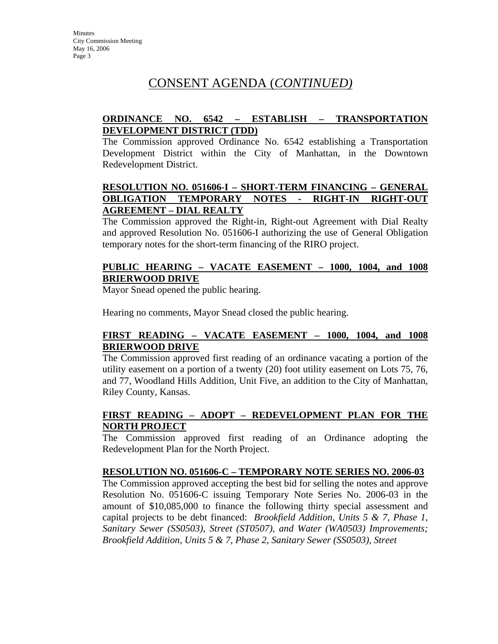## **ORDINANCE NO. 6542 – ESTABLISH – TRANSPORTATION DEVELOPMENT DISTRICT (TDD)**

The Commission approved Ordinance No. 6542 establishing a Transportation Development District within the City of Manhattan, in the Downtown Redevelopment District.

## **RESOLUTION NO. 051606-I – SHORT-TERM FINANCING – GENERAL OBLIGATION TEMPORARY NOTES - RIGHT-IN RIGHT-OUT AGREEMENT – DIAL REALTY**

The Commission approved the Right-in, Right-out Agreement with Dial Realty and approved Resolution No. 051606-I authorizing the use of General Obligation temporary notes for the short-term financing of the RIRO project.

## **PUBLIC HEARING – VACATE EASEMENT – 1000, 1004, and 1008 BRIERWOOD DRIVE**

Mayor Snead opened the public hearing.

Hearing no comments, Mayor Snead closed the public hearing.

## **FIRST READING – VACATE EASEMENT – 1000, 1004, and 1008 BRIERWOOD DRIVE**

The Commission approved first reading of an ordinance vacating a portion of the utility easement on a portion of a twenty (20) foot utility easement on Lots 75, 76, and 77, Woodland Hills Addition, Unit Five, an addition to the City of Manhattan, Riley County, Kansas.

## **FIRST READING – ADOPT – REDEVELOPMENT PLAN FOR THE NORTH PROJECT**

The Commission approved first reading of an Ordinance adopting the Redevelopment Plan for the North Project.

## **RESOLUTION NO. 051606-C – TEMPORARY NOTE SERIES NO. 2006-03**

The Commission approved accepting the best bid for selling the notes and approve Resolution No. 051606-C issuing Temporary Note Series No. 2006-03 in the amount of \$10,085,000 to finance the following thirty special assessment and capital projects to be debt financed: *Brookfield Addition, Units 5 & 7, Phase 1, Sanitary Sewer (SS0503), Street (ST0507), and Water (WA0503) Improvements; Brookfield Addition, Units 5 & 7, Phase 2, Sanitary Sewer (SS0503), Street*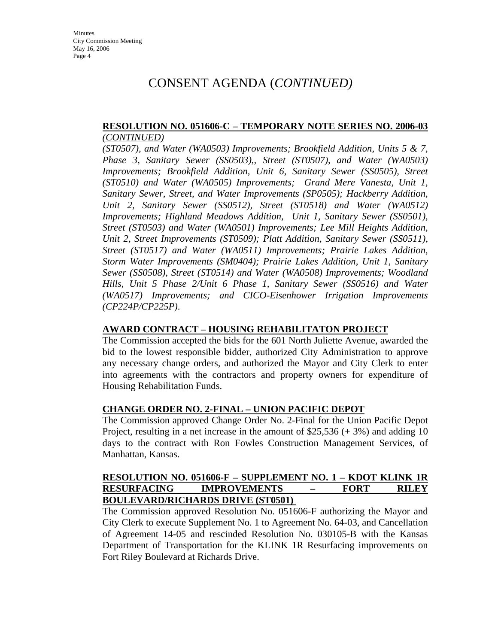### **RESOLUTION NO. 051606-C – TEMPORARY NOTE SERIES NO. 2006-03**  *(CONTINUED)*

*(ST0507), and Water (WA0503) Improvements; Brookfield Addition, Units 5 & 7, Phase 3, Sanitary Sewer (SS0503),, Street (ST0507), and Water (WA0503) Improvements; Brookfield Addition, Unit 6, Sanitary Sewer (SS0505), Street (ST0510) and Water (WA0505) Improvements; Grand Mere Vanesta, Unit 1, Sanitary Sewer, Street, and Water Improvements (SP0505); Hackberry Addition, Unit 2, Sanitary Sewer (SS0512), Street (ST0518) and Water (WA0512) Improvements; Highland Meadows Addition, Unit 1, Sanitary Sewer (SS0501), Street (ST0503) and Water (WA0501) Improvements; Lee Mill Heights Addition, Unit 2, Street Improvements (ST0509); Platt Addition, Sanitary Sewer (SS0511), Street (ST0517) and Water (WA0511) Improvements; Prairie Lakes Addition, Storm Water Improvements (SM0404); Prairie Lakes Addition, Unit 1, Sanitary Sewer (SS0508), Street (ST0514) and Water (WA0508) Improvements; Woodland Hills, Unit 5 Phase 2/Unit 6 Phase 1, Sanitary Sewer (SS0516) and Water (WA0517) Improvements; and CICO-Eisenhower Irrigation Improvements (CP224P/CP225P)*.

#### **AWARD CONTRACT – HOUSING REHABILITATON PROJECT**

The Commission accepted the bids for the 601 North Juliette Avenue, awarded the bid to the lowest responsible bidder, authorized City Administration to approve any necessary change orders, and authorized the Mayor and City Clerk to enter into agreements with the contractors and property owners for expenditure of Housing Rehabilitation Funds.

## **CHANGE ORDER NO. 2-FINAL – UNION PACIFIC DEPOT**

The Commission approved Change Order No. 2-Final for the Union Pacific Depot Project, resulting in a net increase in the amount of \$25,536 (+ 3%) and adding 10 days to the contract with Ron Fowles Construction Management Services, of Manhattan, Kansas.

#### **RESOLUTION NO. 051606-F – SUPPLEMENT NO. 1 – KDOT KLINK 1R RESURFACING IMPROVEMENTS – FORT RILEY BOULEVARD/RICHARDS DRIVE (ST0501)**

The Commission approved Resolution No. 051606-F authorizing the Mayor and City Clerk to execute Supplement No. 1 to Agreement No. 64-03, and Cancellation of Agreement 14-05 and rescinded Resolution No. 030105-B with the Kansas Department of Transportation for the KLINK 1R Resurfacing improvements on Fort Riley Boulevard at Richards Drive.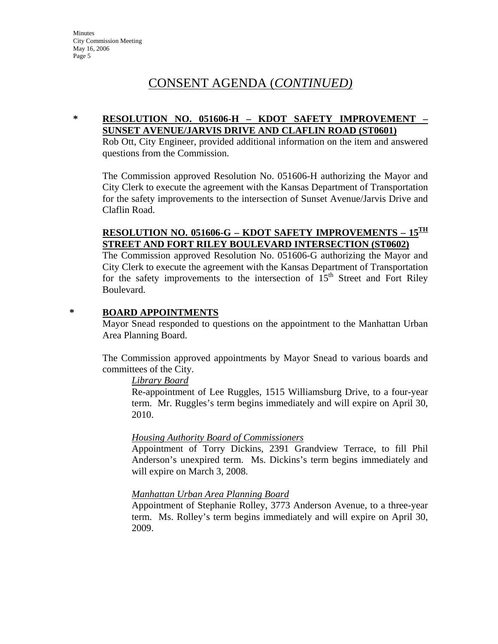## **\* RESOLUTION NO. 051606-H – KDOT SAFETY IMPROVEMENT – SUNSET AVENUE/JARVIS DRIVE AND CLAFLIN ROAD (ST0601)**

Rob Ott, City Engineer, provided additional information on the item and answered questions from the Commission.

The Commission approved Resolution No. 051606-H authorizing the Mayor and City Clerk to execute the agreement with the Kansas Department of Transportation for the safety improvements to the intersection of Sunset Avenue/Jarvis Drive and Claflin Road.

## **RESOLUTION NO. 051606-G – KDOT SAFETY IMPROVEMENTS – 15<sup>TH</sup> STREET AND FORT RILEY BOULEVARD INTERSECTION (ST0602)**

The Commission approved Resolution No. 051606-G authorizing the Mayor and City Clerk to execute the agreement with the Kansas Department of Transportation for the safety improvements to the intersection of  $15<sup>th</sup>$  Street and Fort Riley Boulevard.

### **\* BOARD APPOINTMENTS**

Mayor Snead responded to questions on the appointment to the Manhattan Urban Area Planning Board.

The Commission approved appointments by Mayor Snead to various boards and committees of the City.

#### *Library Board*

Re-appointment of Lee Ruggles, 1515 Williamsburg Drive, to a four-year term. Mr. Ruggles's term begins immediately and will expire on April 30, 2010.

## *Housing Authority Board of Commissioners*

Appointment of Torry Dickins, 2391 Grandview Terrace, to fill Phil Anderson's unexpired term. Ms. Dickins's term begins immediately and will expire on March 3, 2008.

## *Manhattan Urban Area Planning Board*

Appointment of Stephanie Rolley, 3773 Anderson Avenue, to a three-year term. Ms. Rolley's term begins immediately and will expire on April 30, 2009.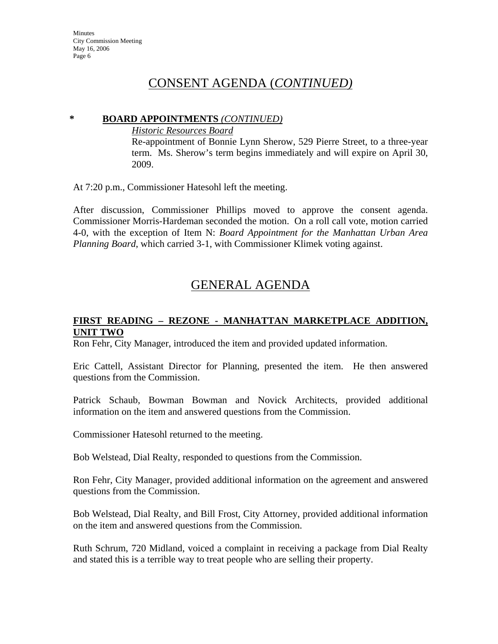### **\* BOARD APPOINTMENTS** *(CONTINUED)*

*Historic Resources Board*

Re-appointment of Bonnie Lynn Sherow, 529 Pierre Street, to a three-year term. Ms. Sherow's term begins immediately and will expire on April 30, 2009.

At 7:20 p.m., Commissioner Hatesohl left the meeting.

After discussion, Commissioner Phillips moved to approve the consent agenda. Commissioner Morris-Hardeman seconded the motion. On a roll call vote, motion carried 4-0, with the exception of Item N: *Board Appointment for the Manhattan Urban Area Planning Board*, which carried 3-1, with Commissioner Klimek voting against.

# GENERAL AGENDA

## **FIRST READING – REZONE - MANHATTAN MARKETPLACE ADDITION, UNIT TWO**

Ron Fehr, City Manager, introduced the item and provided updated information.

Eric Cattell, Assistant Director for Planning, presented the item. He then answered questions from the Commission.

Patrick Schaub, Bowman Bowman and Novick Architects, provided additional information on the item and answered questions from the Commission.

Commissioner Hatesohl returned to the meeting.

Bob Welstead, Dial Realty, responded to questions from the Commission.

Ron Fehr, City Manager, provided additional information on the agreement and answered questions from the Commission.

Bob Welstead, Dial Realty, and Bill Frost, City Attorney, provided additional information on the item and answered questions from the Commission.

Ruth Schrum, 720 Midland, voiced a complaint in receiving a package from Dial Realty and stated this is a terrible way to treat people who are selling their property.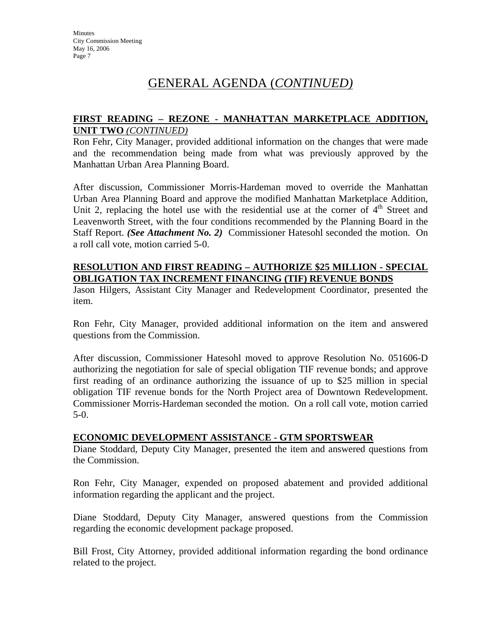## **FIRST READING – REZONE - MANHATTAN MARKETPLACE ADDITION, UNIT TWO** *(CONTINUED)*

Ron Fehr, City Manager, provided additional information on the changes that were made and the recommendation being made from what was previously approved by the Manhattan Urban Area Planning Board.

After discussion, Commissioner Morris-Hardeman moved to override the Manhattan Urban Area Planning Board and approve the modified Manhattan Marketplace Addition, Unit 2, replacing the hotel use with the residential use at the corner of  $4<sup>th</sup>$  Street and Leavenworth Street, with the four conditions recommended by the Planning Board in the Staff Report. *(See Attachment No. 2)* Commissioner Hatesohl seconded the motion. On a roll call vote, motion carried 5-0.

### **RESOLUTION AND FIRST READING – AUTHORIZE \$25 MILLION - SPECIAL OBLIGATION TAX INCREMENT FINANCING (TIF) REVENUE BONDS**

Jason Hilgers, Assistant City Manager and Redevelopment Coordinator, presented the item.

Ron Fehr, City Manager, provided additional information on the item and answered questions from the Commission.

After discussion, Commissioner Hatesohl moved to approve Resolution No. 051606-D authorizing the negotiation for sale of special obligation TIF revenue bonds; and approve first reading of an ordinance authorizing the issuance of up to \$25 million in special obligation TIF revenue bonds for the North Project area of Downtown Redevelopment. Commissioner Morris-Hardeman seconded the motion. On a roll call vote, motion carried 5-0.

## **ECONOMIC DEVELOPMENT ASSISTANCE - GTM SPORTSWEAR**

Diane Stoddard, Deputy City Manager, presented the item and answered questions from the Commission.

Ron Fehr, City Manager, expended on proposed abatement and provided additional information regarding the applicant and the project.

Diane Stoddard, Deputy City Manager, answered questions from the Commission regarding the economic development package proposed.

Bill Frost, City Attorney, provided additional information regarding the bond ordinance related to the project.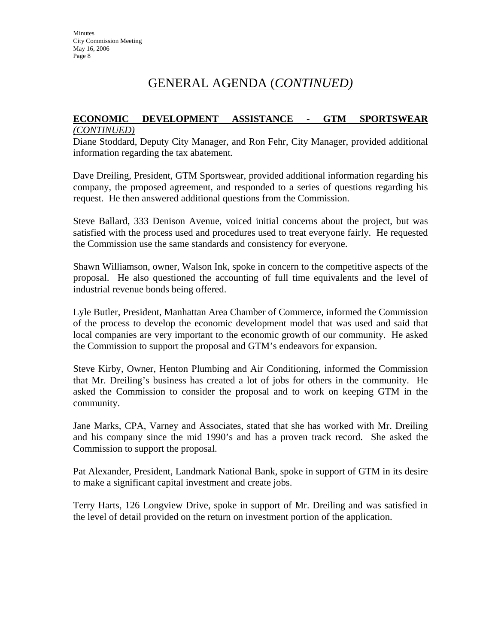### **ECONOMIC DEVELOPMENT ASSISTANCE - GTM SPORTSWEAR** *(CONTINUED)*

Diane Stoddard, Deputy City Manager, and Ron Fehr, City Manager, provided additional information regarding the tax abatement.

Dave Dreiling, President, GTM Sportswear, provided additional information regarding his company, the proposed agreement, and responded to a series of questions regarding his request. He then answered additional questions from the Commission.

Steve Ballard, 333 Denison Avenue, voiced initial concerns about the project, but was satisfied with the process used and procedures used to treat everyone fairly. He requested the Commission use the same standards and consistency for everyone.

Shawn Williamson, owner, Walson Ink, spoke in concern to the competitive aspects of the proposal. He also questioned the accounting of full time equivalents and the level of industrial revenue bonds being offered.

Lyle Butler, President, Manhattan Area Chamber of Commerce, informed the Commission of the process to develop the economic development model that was used and said that local companies are very important to the economic growth of our community. He asked the Commission to support the proposal and GTM's endeavors for expansion.

Steve Kirby, Owner, Henton Plumbing and Air Conditioning, informed the Commission that Mr. Dreiling's business has created a lot of jobs for others in the community. He asked the Commission to consider the proposal and to work on keeping GTM in the community.

Jane Marks, CPA, Varney and Associates, stated that she has worked with Mr. Dreiling and his company since the mid 1990's and has a proven track record. She asked the Commission to support the proposal.

Pat Alexander, President, Landmark National Bank, spoke in support of GTM in its desire to make a significant capital investment and create jobs.

Terry Harts, 126 Longview Drive, spoke in support of Mr. Dreiling and was satisfied in the level of detail provided on the return on investment portion of the application.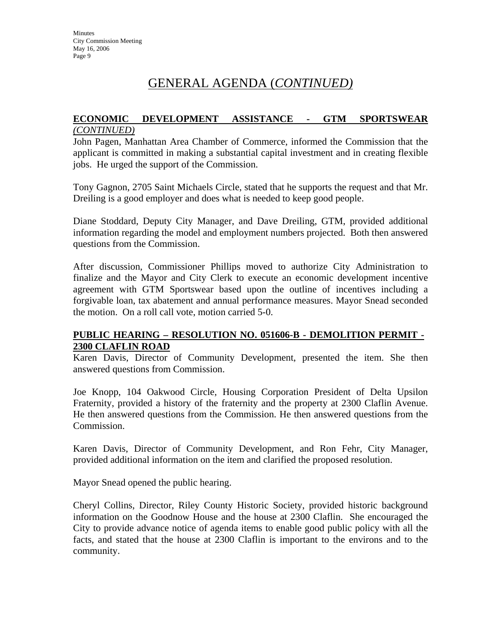#### **ECONOMIC DEVELOPMENT ASSISTANCE - GTM SPORTSWEAR** *(CONTINUED)*

John Pagen, Manhattan Area Chamber of Commerce, informed the Commission that the applicant is committed in making a substantial capital investment and in creating flexible jobs. He urged the support of the Commission.

Tony Gagnon, 2705 Saint Michaels Circle, stated that he supports the request and that Mr. Dreiling is a good employer and does what is needed to keep good people.

Diane Stoddard, Deputy City Manager, and Dave Dreiling, GTM, provided additional information regarding the model and employment numbers projected. Both then answered questions from the Commission.

After discussion, Commissioner Phillips moved to authorize City Administration to finalize and the Mayor and City Clerk to execute an economic development incentive agreement with GTM Sportswear based upon the outline of incentives including a forgivable loan, tax abatement and annual performance measures. Mayor Snead seconded the motion. On a roll call vote, motion carried 5-0.

## **PUBLIC HEARING – RESOLUTION NO. 051606-B - DEMOLITION PERMIT - 2300 CLAFLIN ROAD**

Karen Davis, Director of Community Development, presented the item. She then answered questions from Commission.

Joe Knopp, 104 Oakwood Circle, Housing Corporation President of Delta Upsilon Fraternity, provided a history of the fraternity and the property at 2300 Claflin Avenue. He then answered questions from the Commission. He then answered questions from the Commission.

Karen Davis, Director of Community Development, and Ron Fehr, City Manager, provided additional information on the item and clarified the proposed resolution.

Mayor Snead opened the public hearing.

Cheryl Collins, Director, Riley County Historic Society, provided historic background information on the Goodnow House and the house at 2300 Claflin. She encouraged the City to provide advance notice of agenda items to enable good public policy with all the facts, and stated that the house at 2300 Claflin is important to the environs and to the community.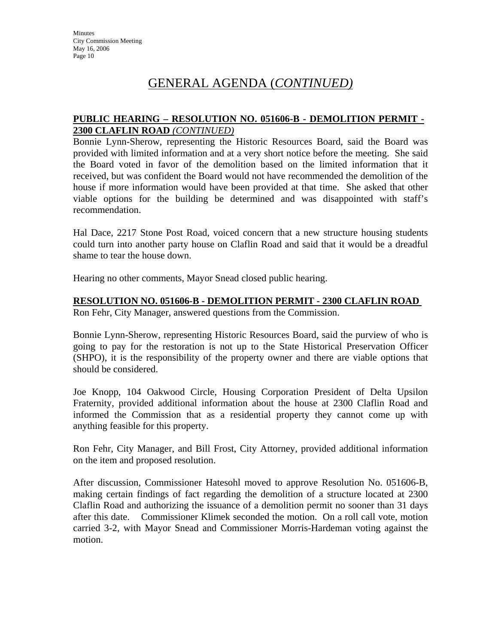## GENERAL AGENDA (*CONTINUED)*

## **PUBLIC HEARING – RESOLUTION NO. 051606-B - DEMOLITION PERMIT - 2300 CLAFLIN ROAD** *(CONTINUED)*

Bonnie Lynn-Sherow, representing the Historic Resources Board, said the Board was provided with limited information and at a very short notice before the meeting. She said the Board voted in favor of the demolition based on the limited information that it received, but was confident the Board would not have recommended the demolition of the house if more information would have been provided at that time. She asked that other viable options for the building be determined and was disappointed with staff's recommendation.

Hal Dace, 2217 Stone Post Road, voiced concern that a new structure housing students could turn into another party house on Claflin Road and said that it would be a dreadful shame to tear the house down.

Hearing no other comments, Mayor Snead closed public hearing.

#### **RESOLUTION NO. 051606-B - DEMOLITION PERMIT - 2300 CLAFLIN ROAD**

Ron Fehr, City Manager, answered questions from the Commission.

Bonnie Lynn-Sherow, representing Historic Resources Board, said the purview of who is going to pay for the restoration is not up to the State Historical Preservation Officer (SHPO), it is the responsibility of the property owner and there are viable options that should be considered.

Joe Knopp, 104 Oakwood Circle, Housing Corporation President of Delta Upsilon Fraternity, provided additional information about the house at 2300 Claflin Road and informed the Commission that as a residential property they cannot come up with anything feasible for this property.

Ron Fehr, City Manager, and Bill Frost, City Attorney, provided additional information on the item and proposed resolution.

After discussion, Commissioner Hatesohl moved to approve Resolution No. 051606-B, making certain findings of fact regarding the demolition of a structure located at 2300 Claflin Road and authorizing the issuance of a demolition permit no sooner than 31 days after this date. Commissioner Klimek seconded the motion. On a roll call vote, motion carried 3-2, with Mayor Snead and Commissioner Morris-Hardeman voting against the motion.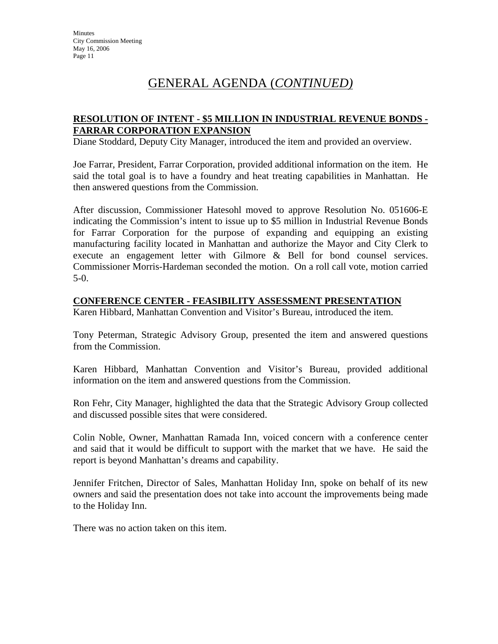## **RESOLUTION OF INTENT - \$5 MILLION IN INDUSTRIAL REVENUE BONDS - FARRAR CORPORATION EXPANSION**

Diane Stoddard, Deputy City Manager, introduced the item and provided an overview.

Joe Farrar, President, Farrar Corporation, provided additional information on the item. He said the total goal is to have a foundry and heat treating capabilities in Manhattan. He then answered questions from the Commission.

After discussion, Commissioner Hatesohl moved to approve Resolution No. 051606-E indicating the Commission's intent to issue up to \$5 million in Industrial Revenue Bonds for Farrar Corporation for the purpose of expanding and equipping an existing manufacturing facility located in Manhattan and authorize the Mayor and City Clerk to execute an engagement letter with Gilmore & Bell for bond counsel services. Commissioner Morris-Hardeman seconded the motion. On a roll call vote, motion carried 5-0.

#### **CONFERENCE CENTER - FEASIBILITY ASSESSMENT PRESENTATION**

Karen Hibbard, Manhattan Convention and Visitor's Bureau, introduced the item.

Tony Peterman, Strategic Advisory Group, presented the item and answered questions from the Commission.

Karen Hibbard, Manhattan Convention and Visitor's Bureau, provided additional information on the item and answered questions from the Commission.

Ron Fehr, City Manager, highlighted the data that the Strategic Advisory Group collected and discussed possible sites that were considered.

Colin Noble, Owner, Manhattan Ramada Inn, voiced concern with a conference center and said that it would be difficult to support with the market that we have. He said the report is beyond Manhattan's dreams and capability.

Jennifer Fritchen, Director of Sales, Manhattan Holiday Inn, spoke on behalf of its new owners and said the presentation does not take into account the improvements being made to the Holiday Inn.

There was no action taken on this item.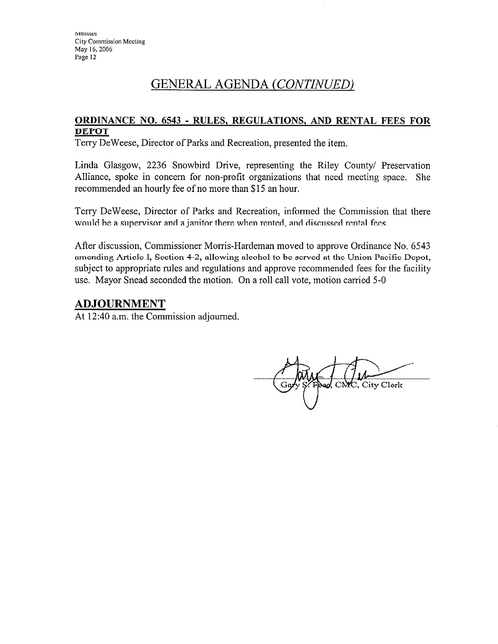# GENERAL AGENDA (CONTINUED)

## **ORDINANCE NO. 6543 - RULES, REGULATIONS, AND RENTAL FEES FOR DEPOT**

Terry DeWeese, Director of Parks and Recreation, presented the item.

Linda Glasgow, 2236 Snowbird Drive, representing the Riley County/ Preservation Alliance, spoke in concern for non-profit organizations that need meeting space. She recommended an hourly fee of no more than \$15 an hour.

Terry DeWeese, Director of Parks and Recreation, informed the Commission that there would be a supervisor and a janitor there when rented, and discussed rental fees.

After discussion, Commissioner Morris-Hardeman moved to approve Ordinance No. 6543 amending Article I, Section 4-2, allowing alcohol to be served at the Union Pacific Depot, subject to appropriate rules and regulations and approve recommended fees for the facility use. Mayor Snead seconded the motion. On a roll call vote, motion carried 5-0

## **ADJOURNMENT**

At 12:40 a.m. the Commission adjourned.

City Clerk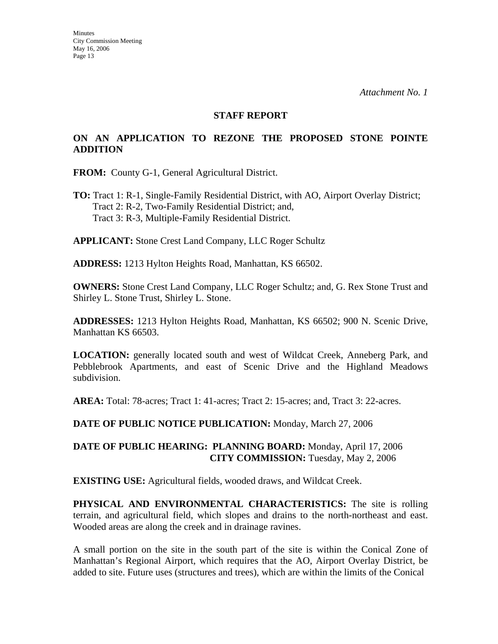#### **STAFF REPORT**

## **ON AN APPLICATION TO REZONE THE PROPOSED STONE POINTE ADDITION**

**FROM:** County G-1, General Agricultural District.

**TO:** Tract 1: R-1, Single-Family Residential District, with AO, Airport Overlay District; Tract 2: R-2, Two-Family Residential District; and, Tract 3: R-3, Multiple-Family Residential District.

**APPLICANT:** Stone Crest Land Company, LLC Roger Schultz

**ADDRESS:** 1213 Hylton Heights Road, Manhattan, KS 66502.

**OWNERS:** Stone Crest Land Company, LLC Roger Schultz; and, G. Rex Stone Trust and Shirley L. Stone Trust, Shirley L. Stone.

**ADDRESSES:** 1213 Hylton Heights Road, Manhattan, KS 66502; 900 N. Scenic Drive, Manhattan KS 66503.

**LOCATION:** generally located south and west of Wildcat Creek, Anneberg Park, and Pebblebrook Apartments, and east of Scenic Drive and the Highland Meadows subdivision.

**AREA:** Total: 78-acres; Tract 1: 41-acres; Tract 2: 15-acres; and, Tract 3: 22-acres.

**DATE OF PUBLIC NOTICE PUBLICATION:** Monday, March 27, 2006

### **DATE OF PUBLIC HEARING: PLANNING BOARD:** Monday, April 17, 2006 **CITY COMMISSION:** Tuesday, May 2, 2006

**EXISTING USE:** Agricultural fields, wooded draws, and Wildcat Creek.

**PHYSICAL AND ENVIRONMENTAL CHARACTERISTICS:** The site is rolling terrain, and agricultural field, which slopes and drains to the north-northeast and east. Wooded areas are along the creek and in drainage ravines.

A small portion on the site in the south part of the site is within the Conical Zone of Manhattan's Regional Airport, which requires that the AO, Airport Overlay District, be added to site. Future uses (structures and trees), which are within the limits of the Conical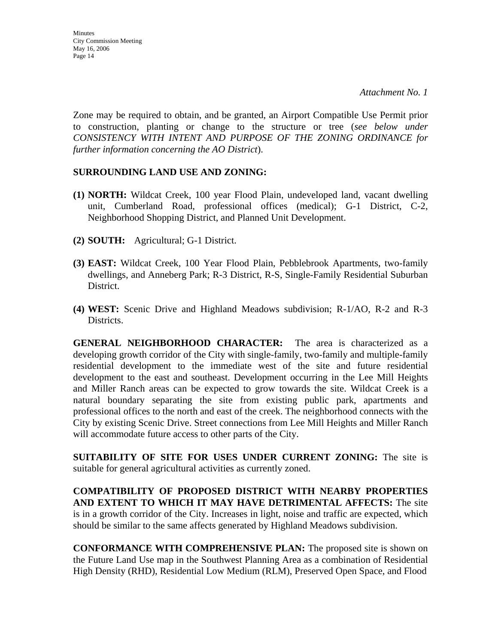Zone may be required to obtain, and be granted, an Airport Compatible Use Permit prior to construction, planting or change to the structure or tree (*see below under CONSISTENCY WITH INTENT AND PURPOSE OF THE ZONING ORDINANCE for further information concerning the AO District*).

### **SURROUNDING LAND USE AND ZONING:**

- **(1) NORTH:** Wildcat Creek, 100 year Flood Plain, undeveloped land, vacant dwelling unit, Cumberland Road, professional offices (medical); G-1 District, C-2, Neighborhood Shopping District, and Planned Unit Development.
- **(2) SOUTH:** Agricultural; G-1 District.
- **(3) EAST:** Wildcat Creek, 100 Year Flood Plain, Pebblebrook Apartments, two-family dwellings, and Anneberg Park; R-3 District, R-S, Single-Family Residential Suburban District.
- **(4) WEST:** Scenic Drive and Highland Meadows subdivision; R-1/AO, R-2 and R-3 Districts.

**GENERAL NEIGHBORHOOD CHARACTER:** The area is characterized as a developing growth corridor of the City with single-family, two-family and multiple-family residential development to the immediate west of the site and future residential development to the east and southeast. Development occurring in the Lee Mill Heights and Miller Ranch areas can be expected to grow towards the site. Wildcat Creek is a natural boundary separating the site from existing public park, apartments and professional offices to the north and east of the creek. The neighborhood connects with the City by existing Scenic Drive. Street connections from Lee Mill Heights and Miller Ranch will accommodate future access to other parts of the City.

**SUITABILITY OF SITE FOR USES UNDER CURRENT ZONING:** The site is suitable for general agricultural activities as currently zoned.

**COMPATIBILITY OF PROPOSED DISTRICT WITH NEARBY PROPERTIES AND EXTENT TO WHICH IT MAY HAVE DETRIMENTAL AFFECTS:** The site is in a growth corridor of the City. Increases in light, noise and traffic are expected, which should be similar to the same affects generated by Highland Meadows subdivision.

**CONFORMANCE WITH COMPREHENSIVE PLAN:** The proposed site is shown on the Future Land Use map in the Southwest Planning Area as a combination of Residential High Density (RHD), Residential Low Medium (RLM), Preserved Open Space, and Flood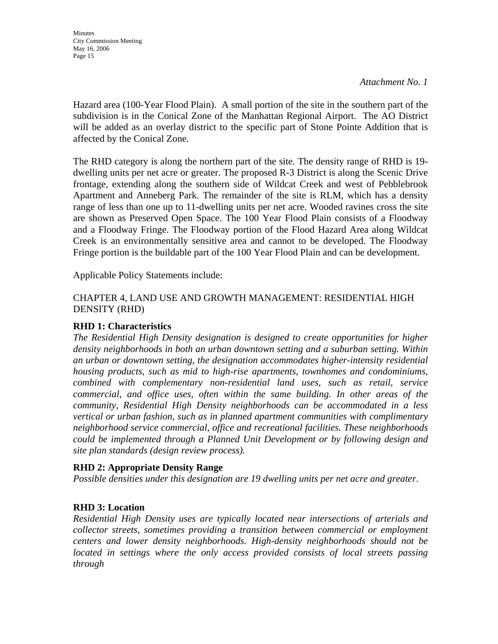*Attachment No. 1*

Hazard area (100-Year Flood Plain). A small portion of the site in the southern part of the subdivision is in the Conical Zone of the Manhattan Regional Airport. The AO District will be added as an overlay district to the specific part of Stone Pointe Addition that is affected by the Conical Zone.

The RHD category is along the northern part of the site. The density range of RHD is 19 dwelling units per net acre or greater. The proposed R-3 District is along the Scenic Drive frontage, extending along the southern side of Wildcat Creek and west of Pebblebrook Apartment and Anneberg Park. The remainder of the site is RLM, which has a density range of less than one up to 11-dwelling units per net acre. Wooded ravines cross the site are shown as Preserved Open Space. The 100 Year Flood Plain consists of a Floodway and a Floodway Fringe. The Floodway portion of the Flood Hazard Area along Wildcat Creek is an environmentally sensitive area and cannot to be developed. The Floodway Fringe portion is the buildable part of the 100 Year Flood Plain and can be development.

Applicable Policy Statements include:

## CHAPTER 4, LAND USE AND GROWTH MANAGEMENT: RESIDENTIAL HIGH DENSITY (RHD)

## **RHD 1: Characteristics**

*The Residential High Density designation is designed to create opportunities for higher density neighborhoods in both an urban downtown setting and a suburban setting. Within an urban or downtown setting, the designation accommodates higher-intensity residential housing products, such as mid to high-rise apartments, townhomes and condominiums, combined with complementary non-residential land uses, such as retail, service commercial, and office uses, often within the same building. In other areas of the community, Residential High Density neighborhoods can be accommodated in a less vertical or urban fashion, such as in planned apartment communities with complimentary neighborhood service commercial, office and recreational facilities. These neighborhoods could be implemented through a Planned Unit Development or by following design and site plan standards (design review process).* 

## **RHD 2: Appropriate Density Range**

*Possible densities under this designation are 19 dwelling units per net acre and greater*.

## **RHD 3: Location**

*Residential High Density uses are typically located near intersections of arterials and collector streets, sometimes providing a transition between commercial or employment centers and lower density neighborhoods. High-density neighborhoods should not be located in settings where the only access provided consists of local streets passing through*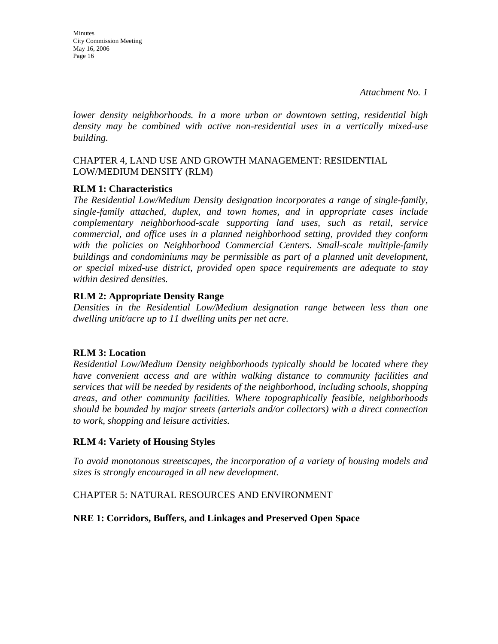**Minutes** City Commission Meeting May 16, 2006 Page 16

*lower density neighborhoods. In a more urban or downtown setting, residential high density may be combined with active non-residential uses in a vertically mixed-use building.* 

## CHAPTER 4, LAND USE AND GROWTH MANAGEMENT: RESIDENTIAL LOW/MEDIUM DENSITY (RLM)

## **RLM 1: Characteristics**

*The Residential Low/Medium Density designation incorporates a range of single-family, single-family attached, duplex, and town homes, and in appropriate cases include complementary neighborhood-scale supporting land uses, such as retail, service commercial, and office uses in a planned neighborhood setting, provided they conform*  with the policies on Neighborhood Commercial Centers. Small-scale multiple-family *buildings and condominiums may be permissible as part of a planned unit development, or special mixed-use district, provided open space requirements are adequate to stay within desired densities.* 

## **RLM 2: Appropriate Density Range**

*Densities in the Residential Low/Medium designation range between less than one dwelling unit/acre up to 11 dwelling units per net acre.* 

## **RLM 3: Location**

*Residential Low/Medium Density neighborhoods typically should be located where they have convenient access and are within walking distance to community facilities and services that will be needed by residents of the neighborhood, including schools, shopping areas, and other community facilities. Where topographically feasible, neighborhoods should be bounded by major streets (arterials and/or collectors) with a direct connection to work, shopping and leisure activities.* 

## **RLM 4: Variety of Housing Styles**

*To avoid monotonous streetscapes, the incorporation of a variety of housing models and sizes is strongly encouraged in all new development.* 

## CHAPTER 5: NATURAL RESOURCES AND ENVIRONMENT

## **NRE 1: Corridors, Buffers, and Linkages and Preserved Open Space**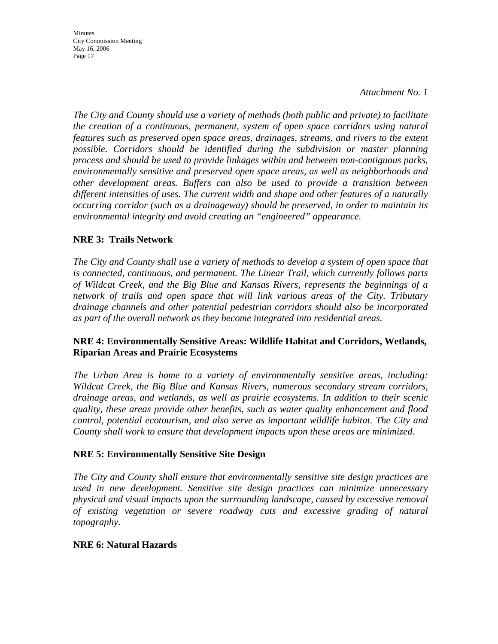*Attachment No. 1*

*The City and County should use a variety of methods (both public and private) to facilitate the creation of a continuous, permanent, system of open space corridors using natural features such as preserved open space areas, drainages, streams, and rivers to the extent possible. Corridors should be identified during the subdivision or master planning process and should be used to provide linkages within and between non-contiguous parks, environmentally sensitive and preserved open space areas, as well as neighborhoods and other development areas. Buffers can also be used to provide a transition between different intensities of uses. The current width and shape and other features of a naturally occurring corridor (such as a drainageway) should be preserved, in order to maintain its environmental integrity and avoid creating an "engineered" appearance.* 

## **NRE 3: Trails Network**

*The City and County shall use a variety of methods to develop a system of open space that is connected, continuous, and permanent. The Linear Trail, which currently follows parts of Wildcat Creek, and the Big Blue and Kansas Rivers, represents the beginnings of a network of trails and open space that will link various areas of the City. Tributary drainage channels and other potential pedestrian corridors should also be incorporated as part of the overall network as they become integrated into residential areas.* 

### **NRE 4: Environmentally Sensitive Areas: Wildlife Habitat and Corridors, Wetlands, Riparian Areas and Prairie Ecosystems**

*The Urban Area is home to a variety of environmentally sensitive areas, including: Wildcat Creek, the Big Blue and Kansas Rivers, numerous secondary stream corridors, drainage areas, and wetlands, as well as prairie ecosystems. In addition to their scenic quality, these areas provide other benefits, such as water quality enhancement and flood control, potential ecotourism, and also serve as important wildlife habitat. The City and County shall work to ensure that development impacts upon these areas are minimized.* 

## **NRE 5: Environmentally Sensitive Site Design**

*The City and County shall ensure that environmentally sensitive site design practices are used in new development. Sensitive site design practices can minimize unnecessary physical and visual impacts upon the surrounding landscape, caused by excessive removal of existing vegetation or severe roadway cuts and excessive grading of natural topography.* 

## **NRE 6: Natural Hazards**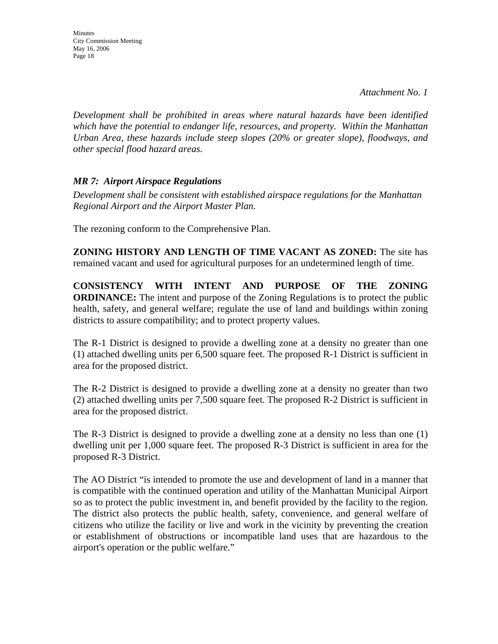**Minutes** City Commission Meeting May 16, 2006 Page 18

*Development shall be prohibited in areas where natural hazards have been identified which have the potential to endanger life, resources, and property. Within the Manhattan Urban Area, these hazards include steep slopes (20% or greater slope), floodways, and other special flood hazard areas.* 

## *MR 7: Airport Airspace Regulations*

*Development shall be consistent with established airspace regulations for the Manhattan Regional Airport and the Airport Master Plan.* 

The rezoning conform to the Comprehensive Plan.

**ZONING HISTORY AND LENGTH OF TIME VACANT AS ZONED:** The site has remained vacant and used for agricultural purposes for an undetermined length of time.

**CONSISTENCY WITH INTENT AND PURPOSE OF THE ZONING ORDINANCE:** The intent and purpose of the Zoning Regulations is to protect the public health, safety, and general welfare; regulate the use of land and buildings within zoning districts to assure compatibility; and to protect property values.

The R-1 District is designed to provide a dwelling zone at a density no greater than one (1) attached dwelling units per 6,500 square feet. The proposed R-1 District is sufficient in area for the proposed district.

The R-2 District is designed to provide a dwelling zone at a density no greater than two (2) attached dwelling units per 7,500 square feet. The proposed R-2 District is sufficient in area for the proposed district.

The R-3 District is designed to provide a dwelling zone at a density no less than one (1) dwelling unit per 1,000 square feet. The proposed R-3 District is sufficient in area for the proposed R-3 District.

The AO District "is intended to promote the use and development of land in a manner that is compatible with the continued operation and utility of the Manhattan Municipal Airport so as to protect the public investment in, and benefit provided by the facility to the region. The district also protects the public health, safety, convenience, and general welfare of citizens who utilize the facility or live and work in the vicinity by preventing the creation or establishment of obstructions or incompatible land uses that are hazardous to the airport's operation or the public welfare."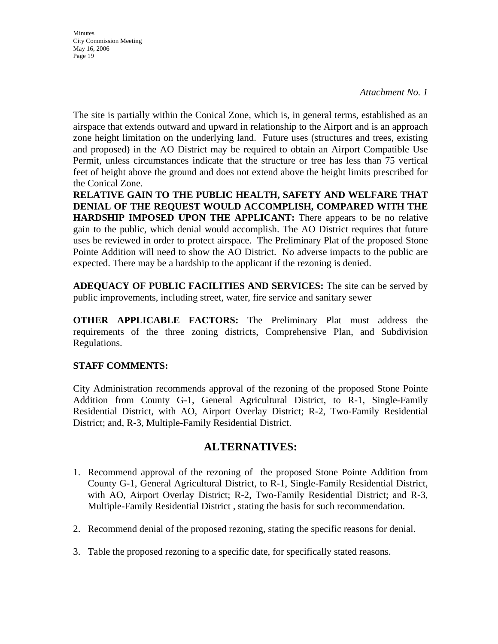*Attachment No. 1*

The site is partially within the Conical Zone, which is, in general terms, established as an airspace that extends outward and upward in relationship to the Airport and is an approach zone height limitation on the underlying land. Future uses (structures and trees, existing and proposed) in the AO District may be required to obtain an Airport Compatible Use Permit, unless circumstances indicate that the structure or tree has less than 75 vertical feet of height above the ground and does not extend above the height limits prescribed for the Conical Zone.

**RELATIVE GAIN TO THE PUBLIC HEALTH, SAFETY AND WELFARE THAT DENIAL OF THE REQUEST WOULD ACCOMPLISH, COMPARED WITH THE HARDSHIP IMPOSED UPON THE APPLICANT:** There appears to be no relative gain to the public, which denial would accomplish. The AO District requires that future uses be reviewed in order to protect airspace. The Preliminary Plat of the proposed Stone Pointe Addition will need to show the AO District. No adverse impacts to the public are expected. There may be a hardship to the applicant if the rezoning is denied.

**ADEQUACY OF PUBLIC FACILITIES AND SERVICES:** The site can be served by public improvements, including street, water, fire service and sanitary sewer

**OTHER APPLICABLE FACTORS:** The Preliminary Plat must address the requirements of the three zoning districts, Comprehensive Plan, and Subdivision Regulations.

## **STAFF COMMENTS:**

City Administration recommends approval of the rezoning of the proposed Stone Pointe Addition from County G-1, General Agricultural District, to R-1, Single-Family Residential District, with AO, Airport Overlay District; R-2, Two-Family Residential District; and, R-3, Multiple-Family Residential District.

## **ALTERNATIVES:**

- 1. Recommend approval of the rezoning of the proposed Stone Pointe Addition from County G-1, General Agricultural District, to R-1, Single-Family Residential District, with AO, Airport Overlay District; R-2, Two-Family Residential District; and R-3, Multiple-Family Residential District , stating the basis for such recommendation.
- 2. Recommend denial of the proposed rezoning, stating the specific reasons for denial.
- 3. Table the proposed rezoning to a specific date, for specifically stated reasons.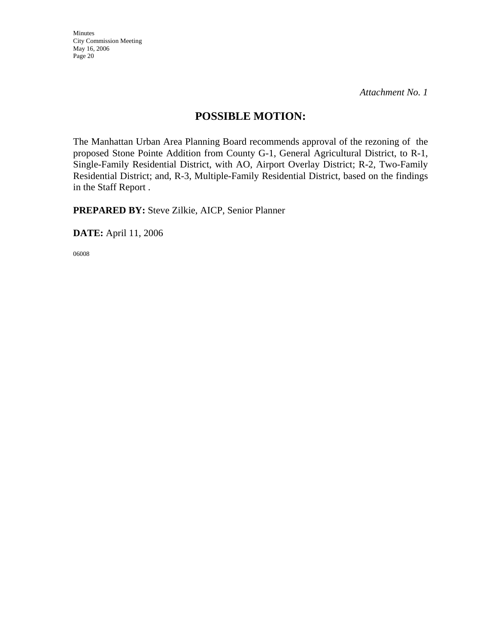*Attachment No. 1*

## **POSSIBLE MOTION:**

The Manhattan Urban Area Planning Board recommends approval of the rezoning of the proposed Stone Pointe Addition from County G-1, General Agricultural District, to R-1, Single-Family Residential District, with AO, Airport Overlay District; R-2, Two-Family Residential District; and, R-3, Multiple-Family Residential District, based on the findings in the Staff Report .

**PREPARED BY:** Steve Zilkie, AICP, Senior Planner

**DATE:** April 11, 2006

06008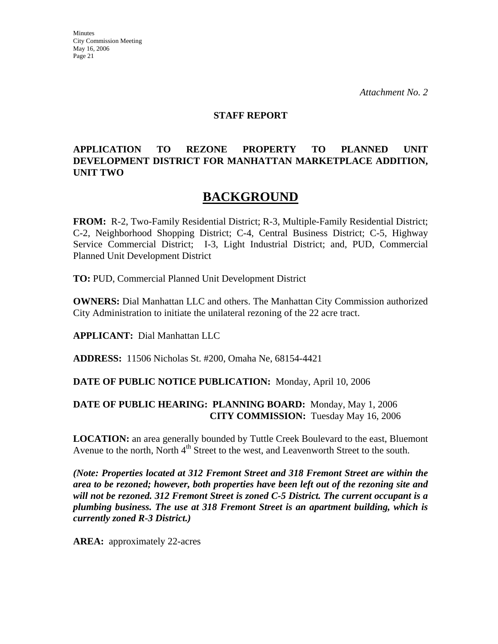#### **STAFF REPORT**

## **APPLICATION TO REZONE PROPERTY TO PLANNED UNIT DEVELOPMENT DISTRICT FOR MANHATTAN MARKETPLACE ADDITION, UNIT TWO**

## **BACKGROUND**

**FROM:** R-2, Two-Family Residential District; R-3, Multiple-Family Residential District; C-2, Neighborhood Shopping District; C-4, Central Business District; C-5, Highway Service Commercial District; I-3, Light Industrial District; and, PUD, Commercial Planned Unit Development District

**TO:** PUD, Commercial Planned Unit Development District

**OWNERS:** Dial Manhattan LLC and others. The Manhattan City Commission authorized City Administration to initiate the unilateral rezoning of the 22 acre tract.

**APPLICANT:** Dial Manhattan LLC

**ADDRESS:** 11506 Nicholas St. #200, Omaha Ne, 68154-4421

#### **DATE OF PUBLIC NOTICE PUBLICATION:** Monday, April 10, 2006

### **DATE OF PUBLIC HEARING: PLANNING BOARD:** Monday, May 1, 2006 **CITY COMMISSION:** Tuesday May 16, 2006

**LOCATION:** an area generally bounded by Tuttle Creek Boulevard to the east, Bluemont Avenue to the north, North 4<sup>th</sup> Street to the west, and Leavenworth Street to the south.

*(Note: Properties located at 312 Fremont Street and 318 Fremont Street are within the area to be rezoned; however, both properties have been left out of the rezoning site and will not be rezoned. 312 Fremont Street is zoned C-5 District. The current occupant is a plumbing business. The use at 318 Fremont Street is an apartment building, which is currently zoned R-3 District.)*

**AREA:** approximately 22-acres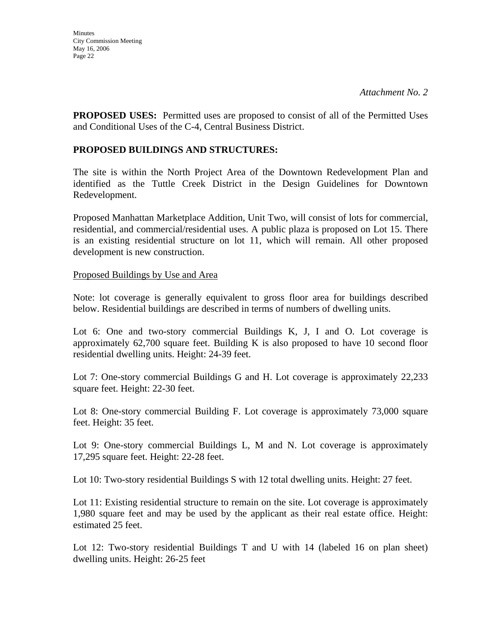**PROPOSED USES:** Permitted uses are proposed to consist of all of the Permitted Uses and Conditional Uses of the C-4, Central Business District.

## **PROPOSED BUILDINGS AND STRUCTURES:**

The site is within the North Project Area of the Downtown Redevelopment Plan and identified as the Tuttle Creek District in the Design Guidelines for Downtown Redevelopment.

Proposed Manhattan Marketplace Addition, Unit Two, will consist of lots for commercial, residential, and commercial/residential uses. A public plaza is proposed on Lot 15. There is an existing residential structure on lot 11, which will remain. All other proposed development is new construction.

### Proposed Buildings by Use and Area

Note: lot coverage is generally equivalent to gross floor area for buildings described below. Residential buildings are described in terms of numbers of dwelling units.

Lot 6: One and two-story commercial Buildings K, J, I and O. Lot coverage is approximately 62,700 square feet. Building K is also proposed to have 10 second floor residential dwelling units. Height: 24-39 feet.

Lot 7: One-story commercial Buildings G and H. Lot coverage is approximately 22,233 square feet. Height: 22-30 feet.

Lot 8: One-story commercial Building F. Lot coverage is approximately 73,000 square feet. Height: 35 feet.

Lot 9: One-story commercial Buildings L, M and N. Lot coverage is approximately 17,295 square feet. Height: 22-28 feet.

Lot 10: Two-story residential Buildings S with 12 total dwelling units. Height: 27 feet.

Lot 11: Existing residential structure to remain on the site. Lot coverage is approximately 1,980 square feet and may be used by the applicant as their real estate office. Height: estimated 25 feet.

Lot 12: Two-story residential Buildings T and U with 14 (labeled 16 on plan sheet) dwelling units. Height: 26-25 feet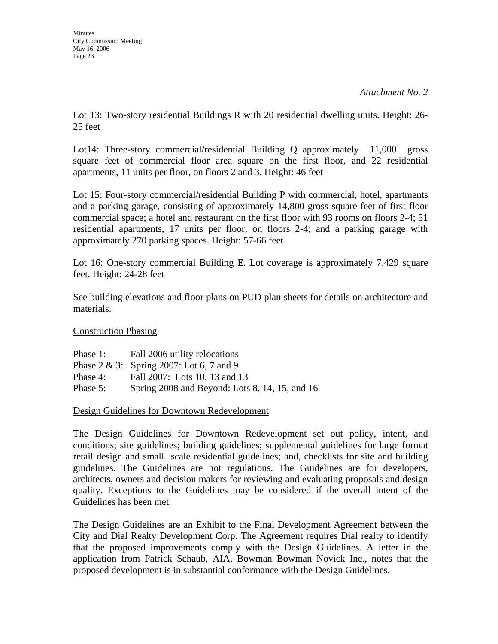Lot 13: Two-story residential Buildings R with 20 residential dwelling units. Height: 26- 25 feet

Lot14: Three-story commercial/residential Building Q approximately 11,000 gross square feet of commercial floor area square on the first floor, and 22 residential apartments, 11 units per floor, on floors 2 and 3. Height: 46 feet

Lot 15: Four-story commercial/residential Building P with commercial, hotel, apartments and a parking garage, consisting of approximately 14,800 gross square feet of first floor commercial space; a hotel and restaurant on the first floor with 93 rooms on floors 2-4; 51 residential apartments, 17 units per floor, on floors 2-4; and a parking garage with approximately 270 parking spaces. Height: 57-66 feet

Lot 16: One-story commercial Building E. Lot coverage is approximately 7,429 square feet. Height: 24-28 feet

See building elevations and floor plans on PUD plan sheets for details on architecture and materials.

Construction Phasing

Phase 1: Fall 2006 utility relocations Phase 2 & 3: Spring 2007: Lot 6, 7 and 9 Phase 4: Fall 2007: Lots 10, 13 and 13 Phase 5: Spring 2008 and Beyond: Lots 8, 14, 15, and 16

Design Guidelines for Downtown Redevelopment

The Design Guidelines for Downtown Redevelopment set out policy, intent, and conditions; site guidelines; building guidelines; supplemental guidelines for large format retail design and small scale residential guidelines; and, checklists for site and building guidelines. The Guidelines are not regulations. The Guidelines are for developers, architects, owners and decision makers for reviewing and evaluating proposals and design quality. Exceptions to the Guidelines may be considered if the overall intent of the Guidelines has been met.

The Design Guidelines are an Exhibit to the Final Development Agreement between the City and Dial Realty Development Corp. The Agreement requires Dial realty to identify that the proposed improvements comply with the Design Guidelines. A letter in the application from Patrick Schaub, AIA, Bowman Bowman Novick Inc., notes that the proposed development is in substantial conformance with the Design Guidelines.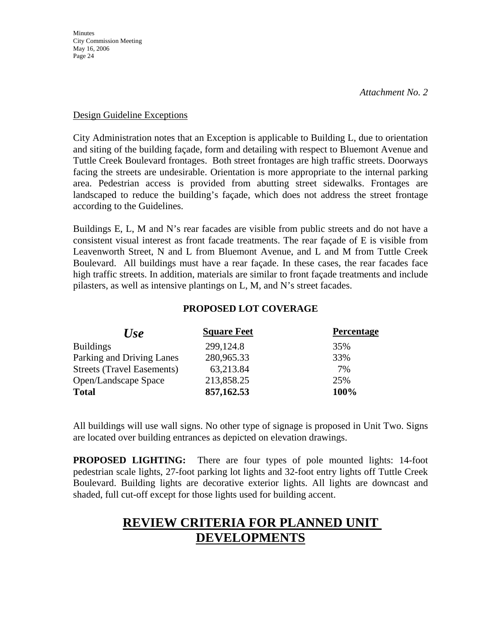### Design Guideline Exceptions

City Administration notes that an Exception is applicable to Building L, due to orientation and siting of the building façade, form and detailing with respect to Bluemont Avenue and Tuttle Creek Boulevard frontages. Both street frontages are high traffic streets. Doorways facing the streets are undesirable. Orientation is more appropriate to the internal parking area. Pedestrian access is provided from abutting street sidewalks. Frontages are landscaped to reduce the building's façade, which does not address the street frontage according to the Guidelines.

Buildings E, L, M and N's rear facades are visible from public streets and do not have a consistent visual interest as front facade treatments. The rear façade of E is visible from Leavenworth Street, N and L from Bluemont Avenue, and L and M from Tuttle Creek Boulevard. All buildings must have a rear façade. In these cases, the rear facades face high traffic streets. In addition, materials are similar to front façade treatments and include pilasters, as well as intensive plantings on L, M, and N's street facades.

## **PROPOSED LOT COVERAGE**

| <b>Use</b>                        | <b>Square Feet</b> | <b>Percentage</b> |
|-----------------------------------|--------------------|-------------------|
| <b>Buildings</b>                  | 299,124.8          | 35%               |
| Parking and Driving Lanes         | 280,965.33         | 33%               |
| <b>Streets (Travel Easements)</b> | 63,213.84          | 7%                |
| Open/Landscape Space              | 213,858.25         | 25%               |
| <b>Total</b>                      | 857,162.53         | 100%              |

All buildings will use wall signs. No other type of signage is proposed in Unit Two. Signs are located over building entrances as depicted on elevation drawings.

**PROPOSED LIGHTING:** There are four types of pole mounted lights: 14-foot pedestrian scale lights, 27-foot parking lot lights and 32-foot entry lights off Tuttle Creek Boulevard. Building lights are decorative exterior lights. All lights are downcast and shaded, full cut-off except for those lights used for building accent.

# **REVIEW CRITERIA FOR PLANNED UNIT DEVELOPMENTS**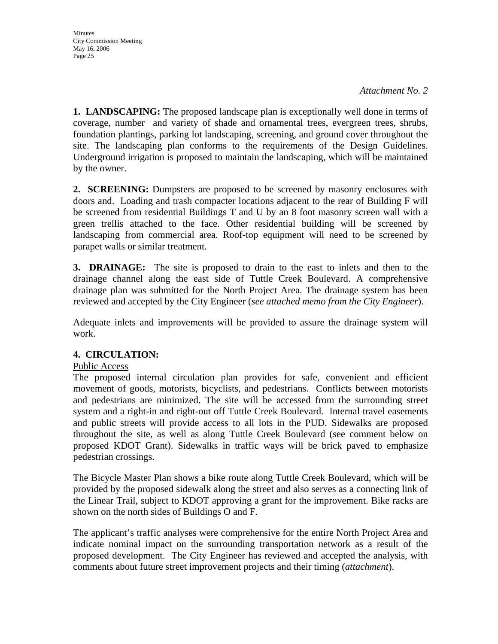**1. LANDSCAPING:** The proposed landscape plan is exceptionally well done in terms of coverage, number and variety of shade and ornamental trees, evergreen trees, shrubs, foundation plantings, parking lot landscaping, screening, and ground cover throughout the site. The landscaping plan conforms to the requirements of the Design Guidelines. Underground irrigation is proposed to maintain the landscaping, which will be maintained by the owner.

**2. SCREENING:** Dumpsters are proposed to be screened by masonry enclosures with doors and. Loading and trash compacter locations adjacent to the rear of Building F will be screened from residential Buildings T and U by an 8 foot masonry screen wall with a green trellis attached to the face. Other residential building will be screened by landscaping from commercial area. Roof-top equipment will need to be screened by parapet walls or similar treatment.

**3. DRAINAGE:** The site is proposed to drain to the east to inlets and then to the drainage channel along the east side of Tuttle Creek Boulevard. A comprehensive drainage plan was submitted for the North Project Area. The drainage system has been reviewed and accepted by the City Engineer (*see attached memo from the City Engineer*).

Adequate inlets and improvements will be provided to assure the drainage system will work.

## **4. CIRCULATION:**

## Public Access

The proposed internal circulation plan provides for safe, convenient and efficient movement of goods, motorists, bicyclists, and pedestrians. Conflicts between motorists and pedestrians are minimized. The site will be accessed from the surrounding street system and a right-in and right-out off Tuttle Creek Boulevard. Internal travel easements and public streets will provide access to all lots in the PUD. Sidewalks are proposed throughout the site, as well as along Tuttle Creek Boulevard (see comment below on proposed KDOT Grant). Sidewalks in traffic ways will be brick paved to emphasize pedestrian crossings.

The Bicycle Master Plan shows a bike route along Tuttle Creek Boulevard, which will be provided by the proposed sidewalk along the street and also serves as a connecting link of the Linear Trail, subject to KDOT approving a grant for the improvement. Bike racks are shown on the north sides of Buildings O and F.

The applicant's traffic analyses were comprehensive for the entire North Project Area and indicate nominal impact on the surrounding transportation network as a result of the proposed development. The City Engineer has reviewed and accepted the analysis, with comments about future street improvement projects and their timing (*attachment*).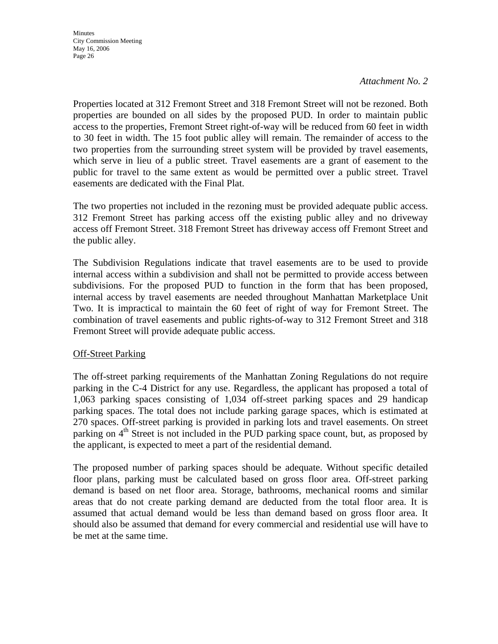#### *Attachment No. 2*

Properties located at 312 Fremont Street and 318 Fremont Street will not be rezoned. Both properties are bounded on all sides by the proposed PUD. In order to maintain public access to the properties, Fremont Street right-of-way will be reduced from 60 feet in width to 30 feet in width. The 15 foot public alley will remain. The remainder of access to the two properties from the surrounding street system will be provided by travel easements, which serve in lieu of a public street. Travel easements are a grant of easement to the public for travel to the same extent as would be permitted over a public street. Travel easements are dedicated with the Final Plat.

The two properties not included in the rezoning must be provided adequate public access. 312 Fremont Street has parking access off the existing public alley and no driveway access off Fremont Street. 318 Fremont Street has driveway access off Fremont Street and the public alley.

The Subdivision Regulations indicate that travel easements are to be used to provide internal access within a subdivision and shall not be permitted to provide access between subdivisions. For the proposed PUD to function in the form that has been proposed, internal access by travel easements are needed throughout Manhattan Marketplace Unit Two. It is impractical to maintain the 60 feet of right of way for Fremont Street. The combination of travel easements and public rights-of-way to 312 Fremont Street and 318 Fremont Street will provide adequate public access.

#### Off-Street Parking

The off-street parking requirements of the Manhattan Zoning Regulations do not require parking in the C-4 District for any use. Regardless, the applicant has proposed a total of 1,063 parking spaces consisting of 1,034 off-street parking spaces and 29 handicap parking spaces. The total does not include parking garage spaces, which is estimated at 270 spaces. Off-street parking is provided in parking lots and travel easements. On street parking on 4<sup>th</sup> Street is not included in the PUD parking space count, but, as proposed by the applicant, is expected to meet a part of the residential demand.

The proposed number of parking spaces should be adequate. Without specific detailed floor plans, parking must be calculated based on gross floor area. Off-street parking demand is based on net floor area. Storage, bathrooms, mechanical rooms and similar areas that do not create parking demand are deducted from the total floor area. It is assumed that actual demand would be less than demand based on gross floor area. It should also be assumed that demand for every commercial and residential use will have to be met at the same time.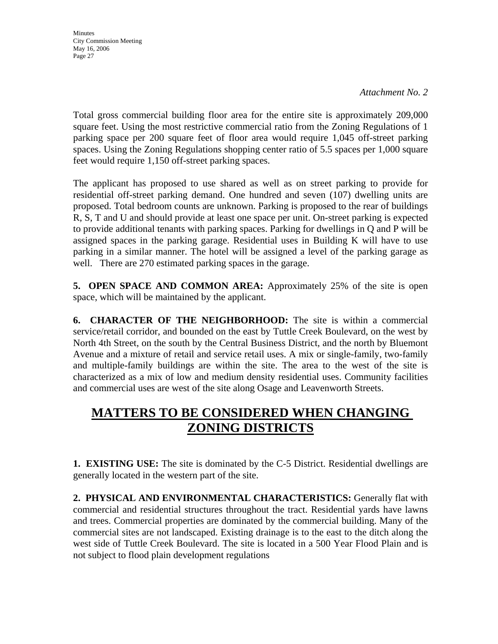*Attachment No. 2*

Total gross commercial building floor area for the entire site is approximately 209,000 square feet. Using the most restrictive commercial ratio from the Zoning Regulations of 1 parking space per 200 square feet of floor area would require 1,045 off-street parking spaces. Using the Zoning Regulations shopping center ratio of 5.5 spaces per 1,000 square feet would require 1,150 off-street parking spaces.

The applicant has proposed to use shared as well as on street parking to provide for residential off-street parking demand. One hundred and seven (107) dwelling units are proposed. Total bedroom counts are unknown. Parking is proposed to the rear of buildings R, S, T and U and should provide at least one space per unit. On-street parking is expected to provide additional tenants with parking spaces. Parking for dwellings in Q and P will be assigned spaces in the parking garage. Residential uses in Building K will have to use parking in a similar manner. The hotel will be assigned a level of the parking garage as well. There are 270 estimated parking spaces in the garage.

**5. OPEN SPACE AND COMMON AREA:** Approximately 25% of the site is open space, which will be maintained by the applicant.

**6. CHARACTER OF THE NEIGHBORHOOD:** The site is within a commercial service/retail corridor, and bounded on the east by Tuttle Creek Boulevard, on the west by North 4th Street, on the south by the Central Business District, and the north by Bluemont Avenue and a mixture of retail and service retail uses. A mix or single-family, two-family and multiple-family buildings are within the site. The area to the west of the site is characterized as a mix of low and medium density residential uses. Community facilities and commercial uses are west of the site along Osage and Leavenworth Streets.

# **MATTERS TO BE CONSIDERED WHEN CHANGING ZONING DISTRICTS**

**1. EXISTING USE:** The site is dominated by the C-5 District. Residential dwellings are generally located in the western part of the site.

**2. PHYSICAL AND ENVIRONMENTAL CHARACTERISTICS:** Generally flat with commercial and residential structures throughout the tract. Residential yards have lawns and trees. Commercial properties are dominated by the commercial building. Many of the commercial sites are not landscaped. Existing drainage is to the east to the ditch along the west side of Tuttle Creek Boulevard. The site is located in a 500 Year Flood Plain and is not subject to flood plain development regulations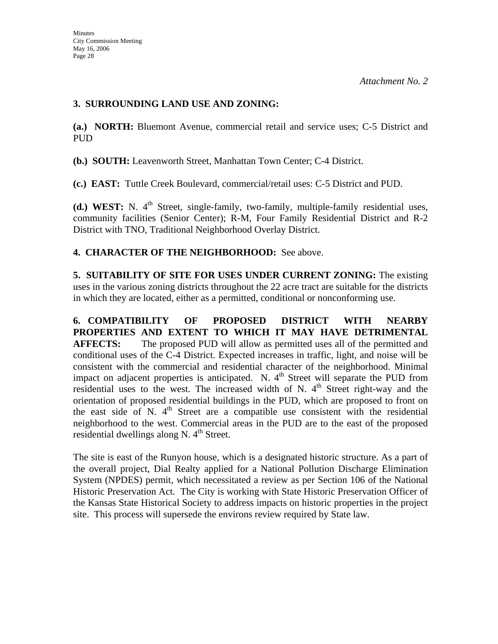## **3. SURROUNDING LAND USE AND ZONING:**

**(a.) NORTH:** Bluemont Avenue, commercial retail and service uses; C-5 District and PUD

**(b.) SOUTH:** Leavenworth Street, Manhattan Town Center; C-4 District.

**(c.) EAST:** Tuttle Creek Boulevard, commercial/retail uses: C-5 District and PUD.

**(d.) WEST:** N. 4<sup>th</sup> Street, single-family, two-family, multiple-family residential uses, community facilities (Senior Center); R-M, Four Family Residential District and R-2 District with TNO, Traditional Neighborhood Overlay District.

## **4. CHARACTER OF THE NEIGHBORHOOD:** See above.

**5. SUITABILITY OF SITE FOR USES UNDER CURRENT ZONING:** The existing uses in the various zoning districts throughout the 22 acre tract are suitable for the districts in which they are located, either as a permitted, conditional or nonconforming use.

**6. COMPATIBILITY OF PROPOSED DISTRICT WITH NEARBY PROPERTIES AND EXTENT TO WHICH IT MAY HAVE DETRIMENTAL AFFECTS:** The proposed PUD will allow as permitted uses all of the permitted and conditional uses of the C-4 District. Expected increases in traffic, light, and noise will be consistent with the commercial and residential character of the neighborhood. Minimal impact on adjacent properties is anticipated. N.  $4<sup>th</sup>$  Street will separate the PUD from residential uses to the west. The increased width of N.  $4<sup>th</sup>$  Street right-way and the orientation of proposed residential buildings in the PUD, which are proposed to front on the east side of  $N$ .  $4<sup>th</sup>$  Street are a compatible use consistent with the residential neighborhood to the west. Commercial areas in the PUD are to the east of the proposed residential dwellings along N.  $4<sup>th</sup>$  Street.

The site is east of the Runyon house, which is a designated historic structure. As a part of the overall project, Dial Realty applied for a National Pollution Discharge Elimination System (NPDES) permit, which necessitated a review as per Section 106 of the National Historic Preservation Act. The City is working with State Historic Preservation Officer of the Kansas State Historical Society to address impacts on historic properties in the project site. This process will supersede the environs review required by State law.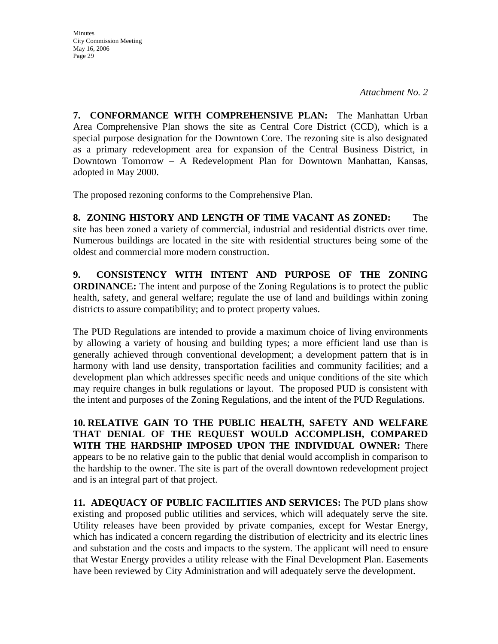*Attachment No. 2*

**7. CONFORMANCE WITH COMPREHENSIVE PLAN:** The Manhattan Urban Area Comprehensive Plan shows the site as Central Core District (CCD), which is a special purpose designation for the Downtown Core. The rezoning site is also designated as a primary redevelopment area for expansion of the Central Business District, in Downtown Tomorrow – A Redevelopment Plan for Downtown Manhattan, Kansas, adopted in May 2000.

The proposed rezoning conforms to the Comprehensive Plan.

**8. ZONING HISTORY AND LENGTH OF TIME VACANT AS ZONED:** The site has been zoned a variety of commercial, industrial and residential districts over time. Numerous buildings are located in the site with residential structures being some of the oldest and commercial more modern construction.

**9. CONSISTENCY WITH INTENT AND PURPOSE OF THE ZONING ORDINANCE:** The intent and purpose of the Zoning Regulations is to protect the public health, safety, and general welfare; regulate the use of land and buildings within zoning districts to assure compatibility; and to protect property values.

The PUD Regulations are intended to provide a maximum choice of living environments by allowing a variety of housing and building types; a more efficient land use than is generally achieved through conventional development; a development pattern that is in harmony with land use density, transportation facilities and community facilities; and a development plan which addresses specific needs and unique conditions of the site which may require changes in bulk regulations or layout. The proposed PUD is consistent with the intent and purposes of the Zoning Regulations, and the intent of the PUD Regulations.

**10. RELATIVE GAIN TO THE PUBLIC HEALTH, SAFETY AND WELFARE THAT DENIAL OF THE REQUEST WOULD ACCOMPLISH, COMPARED WITH THE HARDSHIP IMPOSED UPON THE INDIVIDUAL OWNER:** There appears to be no relative gain to the public that denial would accomplish in comparison to the hardship to the owner. The site is part of the overall downtown redevelopment project and is an integral part of that project.

**11. ADEQUACY OF PUBLIC FACILITIES AND SERVICES:** The PUD plans show existing and proposed public utilities and services, which will adequately serve the site. Utility releases have been provided by private companies, except for Westar Energy, which has indicated a concern regarding the distribution of electricity and its electric lines and substation and the costs and impacts to the system. The applicant will need to ensure that Westar Energy provides a utility release with the Final Development Plan. Easements have been reviewed by City Administration and will adequately serve the development.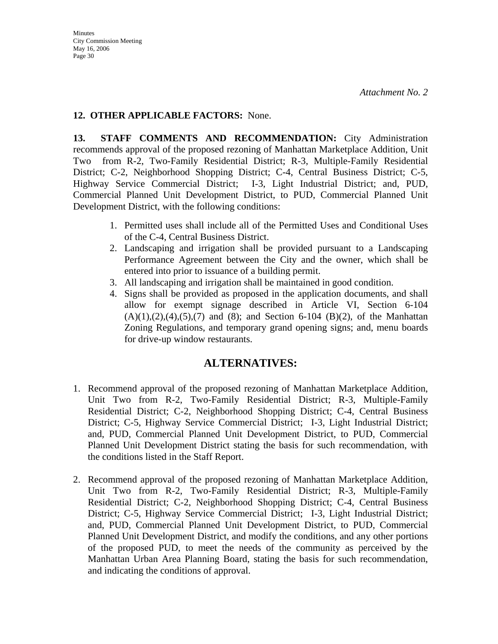## **12. OTHER APPLICABLE FACTORS:** None.

**13. STAFF COMMENTS AND RECOMMENDATION:** City Administration recommends approval of the proposed rezoning of Manhattan Marketplace Addition, Unit Two from R-2, Two-Family Residential District; R-3, Multiple-Family Residential District; C-2, Neighborhood Shopping District; C-4, Central Business District; C-5, Highway Service Commercial District; I-3, Light Industrial District; and, PUD, Commercial Planned Unit Development District, to PUD, Commercial Planned Unit Development District, with the following conditions:

- 1. Permitted uses shall include all of the Permitted Uses and Conditional Uses of the C-4, Central Business District.
- 2. Landscaping and irrigation shall be provided pursuant to a Landscaping Performance Agreement between the City and the owner, which shall be entered into prior to issuance of a building permit.
- 3. All landscaping and irrigation shall be maintained in good condition.
- 4. Signs shall be provided as proposed in the application documents, and shall allow for exempt signage described in Article VI, Section 6-104  $(A)(1), (2), (4), (5), (7)$  and  $(8)$ ; and Section 6-104  $(B)(2)$ , of the Manhattan Zoning Regulations, and temporary grand opening signs; and, menu boards for drive-up window restaurants.

## **ALTERNATIVES:**

- 1. Recommend approval of the proposed rezoning of Manhattan Marketplace Addition, Unit Two from R-2, Two-Family Residential District; R-3, Multiple-Family Residential District; C-2, Neighborhood Shopping District; C-4, Central Business District; C-5, Highway Service Commercial District; I-3, Light Industrial District; and, PUD, Commercial Planned Unit Development District, to PUD, Commercial Planned Unit Development District stating the basis for such recommendation, with the conditions listed in the Staff Report.
- 2. Recommend approval of the proposed rezoning of Manhattan Marketplace Addition, Unit Two from R-2, Two-Family Residential District; R-3, Multiple-Family Residential District; C-2, Neighborhood Shopping District; C-4, Central Business District; C-5, Highway Service Commercial District; I-3, Light Industrial District; and, PUD, Commercial Planned Unit Development District, to PUD, Commercial Planned Unit Development District, and modify the conditions, and any other portions of the proposed PUD, to meet the needs of the community as perceived by the Manhattan Urban Area Planning Board, stating the basis for such recommendation, and indicating the conditions of approval.